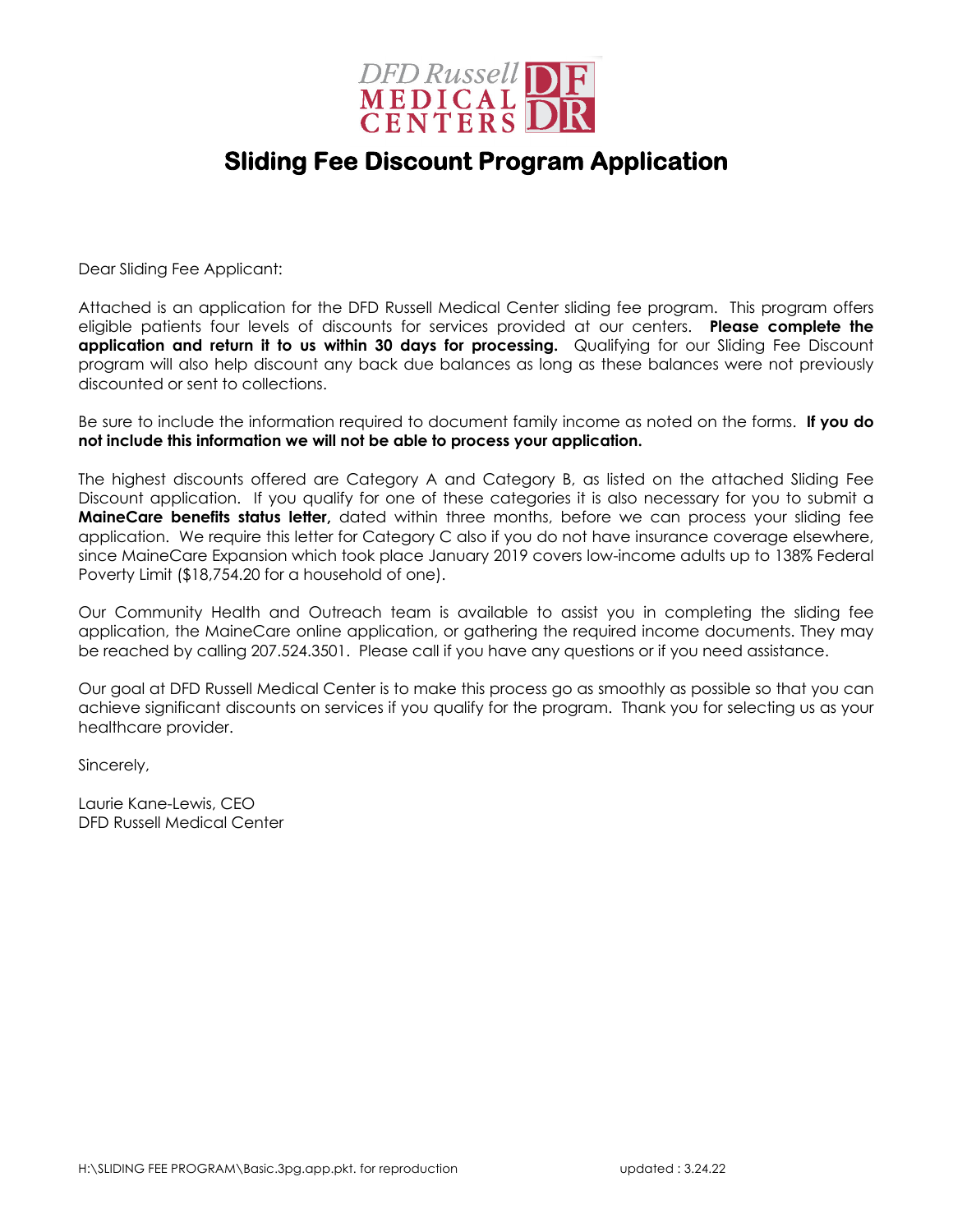

## **Sliding Fee Discount Program Application**

Dear Sliding Fee Applicant:

Attached is an application for the DFD Russell Medical Center sliding fee program. This program offers eligible patients four levels of discounts for services provided at our centers. **Please complete the application and return it to us within 30 days for processing.** Qualifying for our Sliding Fee Discount program will also help discount any back due balances as long as these balances were not previously discounted or sent to collections.

Be sure to include the information required to document family income as noted on the forms. **If you do not include this information we will not be able to process your application.**

The highest discounts offered are Category A and Category B, as listed on the attached Sliding Fee Discount application. If you qualify for one of these categories it is also necessary for you to submit a **MaineCare benefits status letter,** dated within three months, before we can process your sliding fee application. We require this letter for Category C also if you do not have insurance coverage elsewhere, since MaineCare Expansion which took place January 2019 covers low-income adults up to 138% Federal Poverty Limit (\$18,754.20 for a household of one).

Our Community Health and Outreach team is available to assist you in completing the sliding fee application, the MaineCare online application, or gathering the required income documents. They may be reached by calling 207.524.3501. Please call if you have any questions or if you need assistance.

Our goal at DFD Russell Medical Center is to make this process go as smoothly as possible so that you can achieve significant discounts on services if you qualify for the program. Thank you for selecting us as your healthcare provider.

Sincerely,

Laurie Kane-Lewis, CEO DFD Russell Medical Center